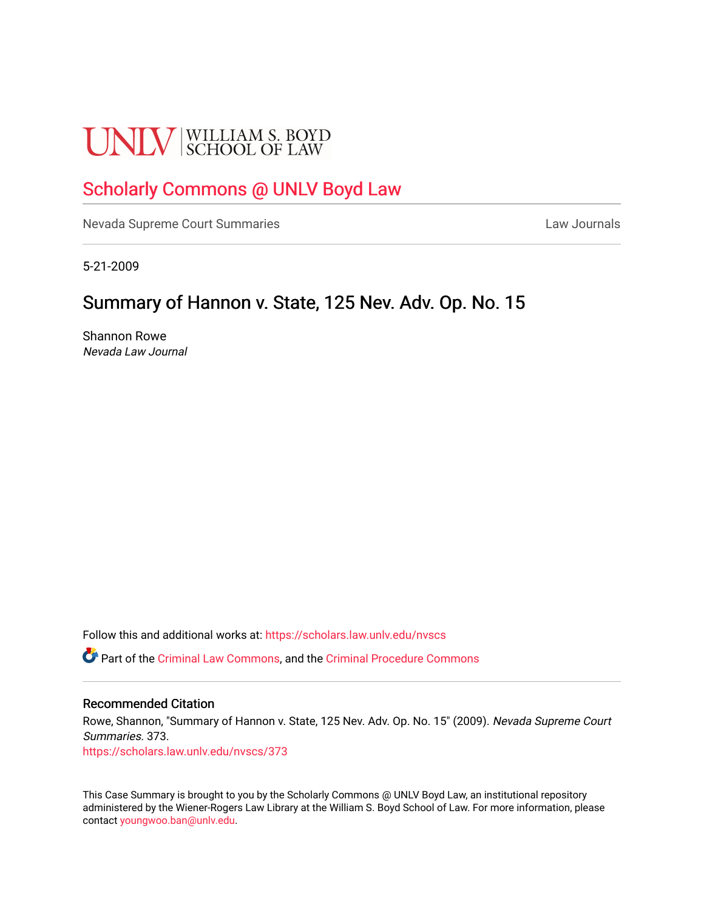# **UNLV** SCHOOL OF LAW

# [Scholarly Commons @ UNLV Boyd Law](https://scholars.law.unlv.edu/)

[Nevada Supreme Court Summaries](https://scholars.law.unlv.edu/nvscs) **Law Journals** Law Journals

5-21-2009

# Summary of Hannon v. State, 125 Nev. Adv. Op. No. 15

Shannon Rowe Nevada Law Journal

Follow this and additional works at: [https://scholars.law.unlv.edu/nvscs](https://scholars.law.unlv.edu/nvscs?utm_source=scholars.law.unlv.edu%2Fnvscs%2F373&utm_medium=PDF&utm_campaign=PDFCoverPages)

Part of the [Criminal Law Commons,](http://network.bepress.com/hgg/discipline/912?utm_source=scholars.law.unlv.edu%2Fnvscs%2F373&utm_medium=PDF&utm_campaign=PDFCoverPages) and the [Criminal Procedure Commons](http://network.bepress.com/hgg/discipline/1073?utm_source=scholars.law.unlv.edu%2Fnvscs%2F373&utm_medium=PDF&utm_campaign=PDFCoverPages)

#### Recommended Citation

Rowe, Shannon, "Summary of Hannon v. State, 125 Nev. Adv. Op. No. 15" (2009). Nevada Supreme Court Summaries. 373. [https://scholars.law.unlv.edu/nvscs/373](https://scholars.law.unlv.edu/nvscs/373?utm_source=scholars.law.unlv.edu%2Fnvscs%2F373&utm_medium=PDF&utm_campaign=PDFCoverPages)

This Case Summary is brought to you by the Scholarly Commons @ UNLV Boyd Law, an institutional repository administered by the Wiener-Rogers Law Library at the William S. Boyd School of Law. For more information, please contact [youngwoo.ban@unlv.edu](mailto:youngwoo.ban@unlv.edu).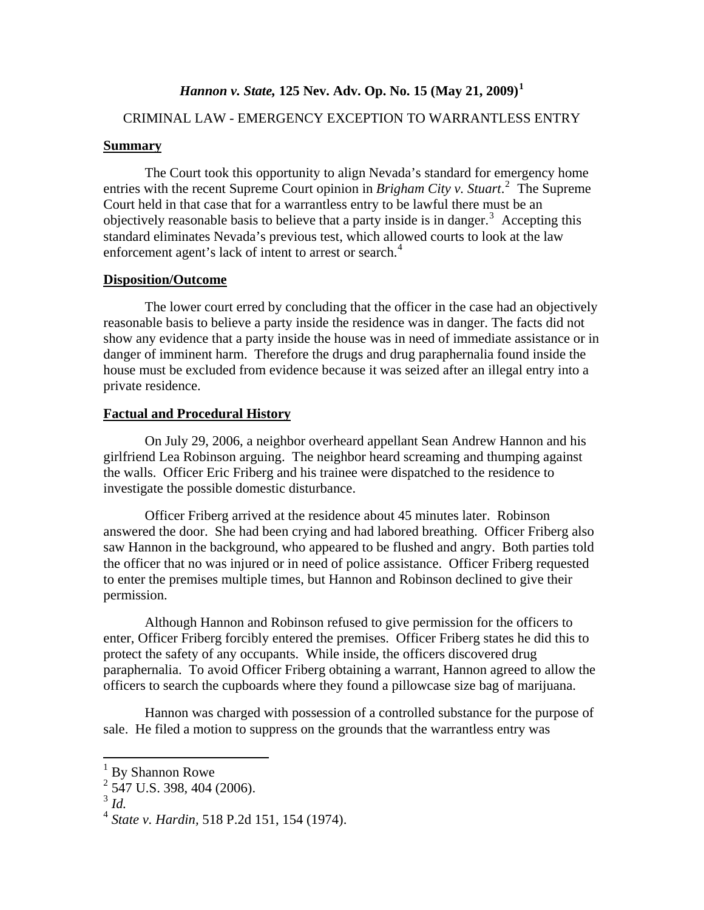## *Hannon v. State,* **125 Nev. Adv. Op. No. 15 (May 21, 2009)[1](#page-1-0)**

## CRIMINAL LAW - EMERGENCY EXCEPTION TO WARRANTLESS ENTRY

#### **Summary**

 The Court took this opportunity to align Nevada's standard for emergency home entries with the recent Supreme Court opinion in *Brigham City v. Stuart*.<sup>[2](#page-1-1)</sup> The Supreme Court held in that case that for a warrantless entry to be lawful there must be an objectively reasonable basis to believe that a party inside is in danger.<sup>[3](#page-1-2)</sup> Accepting this standard eliminates Nevada's previous test, which allowed courts to look at the law enforcement agent's lack of intent to arrest or search.<sup>[4](#page-1-3)</sup>

#### **Disposition/Outcome**

 The lower court erred by concluding that the officer in the case had an objectively reasonable basis to believe a party inside the residence was in danger. The facts did not show any evidence that a party inside the house was in need of immediate assistance or in danger of imminent harm. Therefore the drugs and drug paraphernalia found inside the house must be excluded from evidence because it was seized after an illegal entry into a private residence.

#### **Factual and Procedural History**

 On July 29, 2006, a neighbor overheard appellant Sean Andrew Hannon and his girlfriend Lea Robinson arguing. The neighbor heard screaming and thumping against the walls. Officer Eric Friberg and his trainee were dispatched to the residence to investigate the possible domestic disturbance.

 Officer Friberg arrived at the residence about 45 minutes later. Robinson answered the door. She had been crying and had labored breathing. Officer Friberg also saw Hannon in the background, who appeared to be flushed and angry. Both parties told the officer that no was injured or in need of police assistance. Officer Friberg requested to enter the premises multiple times, but Hannon and Robinson declined to give their permission.

 Although Hannon and Robinson refused to give permission for the officers to enter, Officer Friberg forcibly entered the premises. Officer Friberg states he did this to protect the safety of any occupants. While inside, the officers discovered drug paraphernalia. To avoid Officer Friberg obtaining a warrant, Hannon agreed to allow the officers to search the cupboards where they found a pillowcase size bag of marijuana.

 Hannon was charged with possession of a controlled substance for the purpose of sale. He filed a motion to suppress on the grounds that the warrantless entry was

<span id="page-1-0"></span><sup>&</sup>lt;sup>1</sup> By Shannon Rowe

<span id="page-1-1"></span> $2$  547 U.S. 398, 404 (2006).

<span id="page-1-2"></span><sup>3</sup> *Id.* 

<span id="page-1-3"></span><sup>4</sup> *State v. Hardin,* 518 P.2d 151, 154 (1974).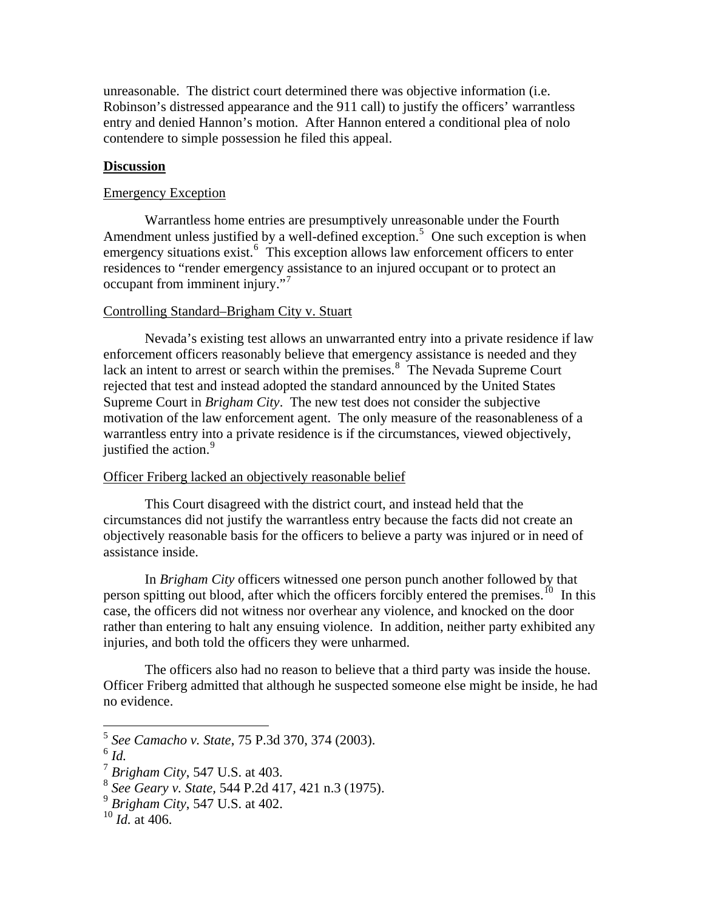unreasonable. The district court determined there was objective information (i.e. Robinson's distressed appearance and the 911 call) to justify the officers' warrantless entry and denied Hannon's motion. After Hannon entered a conditional plea of nolo contendere to simple possession he filed this appeal.

#### **Discussion**

#### Emergency Exception

 Warrantless home entries are presumptively unreasonable under the Fourth Amendment unless justified by a well-defined exception.<sup>[5](#page-2-0)</sup> One such exception is when emergency situations exist.<sup>[6](#page-2-0)</sup> This exception allows law enforcement officers to enter residences to "render emergency assistance to an injured occupant or to protect an occupant from imminent injury."[7](#page-2-0)

#### Controlling Standard–Brigham City v. Stuart

 Nevada's existing test allows an unwarranted entry into a private residence if law enforcement officers reasonably believe that emergency assistance is needed and they lack an intent to arrest or search within the premises. $8\text{ }$  $8\text{ }$  The Nevada Supreme Court rejected that test and instead adopted the standard announced by the United States Supreme Court in *Brigham City*. The new test does not consider the subjective motivation of the law enforcement agent. The only measure of the reasonableness of a warrantless entry into a private residence is if the circumstances, viewed objectively, justified the action.<sup>[9](#page-2-0)</sup>

#### Officer Friberg lacked an objectively reasonable belief

 This Court disagreed with the district court, and instead held that the circumstances did not justify the warrantless entry because the facts did not create an objectively reasonable basis for the officers to believe a party was injured or in need of assistance inside.

 In *Brigham City* officers witnessed one person punch another followed by that person spitting out blood, after which the officers forcibly entered the premises.<sup>[10](#page-2-0)</sup> In this case, the officers did not witness nor overhear any violence, and knocked on the door rather than entering to halt any ensuing violence. In addition, neither party exhibited any injuries, and both told the officers they were unharmed.

 The officers also had no reason to believe that a third party was inside the house. Officer Friberg admitted that although he suspected someone else might be inside, he had no evidence.

<sup>5</sup> *See Camacho v. State*, 75 P.3d 370, 374 (2003).

<span id="page-2-0"></span> $\int_0^6$  *Id.* 

<sup>7</sup> *Brigham City*, 547 U.S. at 403.

<sup>8</sup> *See Geary v. State,* 544 P.2d 417, 421 n.3 (1975).

<sup>9</sup> *Brigham City*, 547 U.S. at 402.

 $^{10}$  *Id.* at 406.